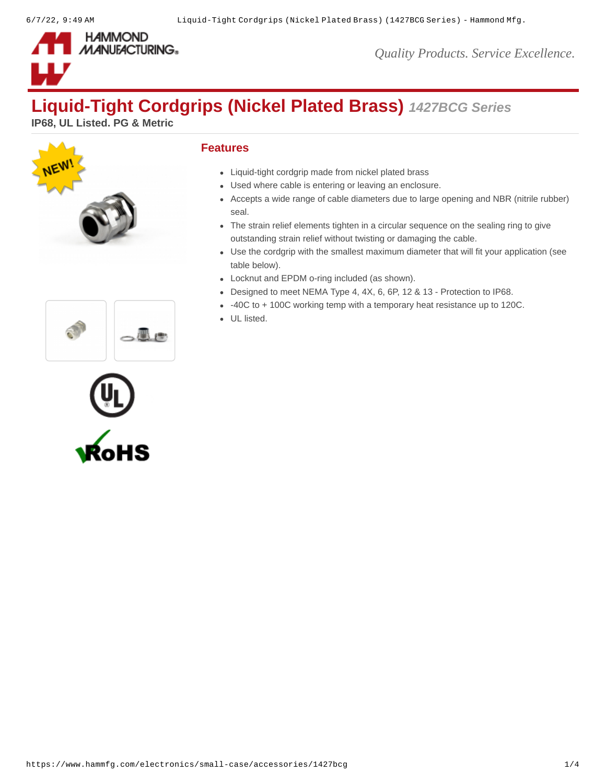

*Quality Products. Service Excellence.*

# **Liquid-Tight Cordgrips (Nickel Plated Brass)** *1427BCG Series*

**IP68, UL Listed. PG & Metric**



## **Features**

- Liquid-tight cordgrip made from nickel plated brass
- Used where cable is entering or leaving an enclosure.
- Accepts a wide range of cable diameters due to large opening and NBR (nitrile rubber) seal.
- The strain relief elements tighten in a circular sequence on the sealing ring to give outstanding strain relief without twisting or damaging the cable.
- Use the cordgrip with the smallest maximum diameter that will fit your application (see table below).
- Locknut and EPDM o-ring included (as shown).
- Designed to meet NEMA Type 4, 4X, 6, 6P, 12 & 13 Protection to IP68.
- -40C to + 100C working temp with a temporary heat resistance up to 120C.
- UL listed.



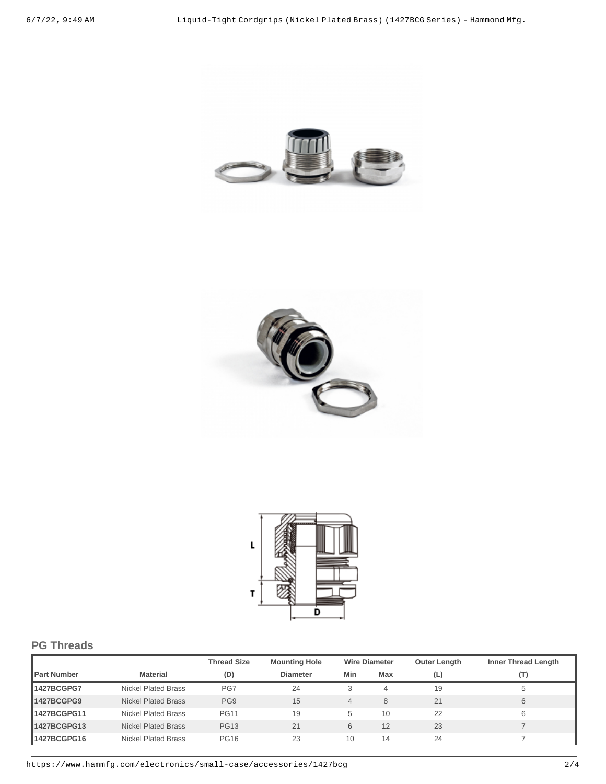





# **PG Threads**

|                    |                     | <b>Thread Size</b> | <b>Mounting Hole</b> |     | <b>Wire Diameter</b> | <b>Outer Length</b> | <b>Inner Thread Length</b> |
|--------------------|---------------------|--------------------|----------------------|-----|----------------------|---------------------|----------------------------|
| <b>Part Number</b> | <b>Material</b>     | (D)                | <b>Diameter</b>      | Min | Max                  | (L)                 | (T)                        |
| 1427BCGPG7         | Nickel Plated Brass | PG7                | 24                   | 3   | 4                    | 19                  | ь                          |
| 1427BCGPG9         | Nickel Plated Brass | PG9                | 15                   | 4   | 8                    | 21                  | 6                          |
| 1427BCGPG11        | Nickel Plated Brass | <b>PG11</b>        | 19                   | 5   | 10                   | 22                  | 6                          |
| 1427BCGPG13        | Nickel Plated Brass | <b>PG13</b>        | 21                   | 6   | 12                   | 23                  |                            |
| 1427BCGPG16        | Nickel Plated Brass | <b>PG16</b>        | 23                   | 10  | 14                   | 24                  |                            |